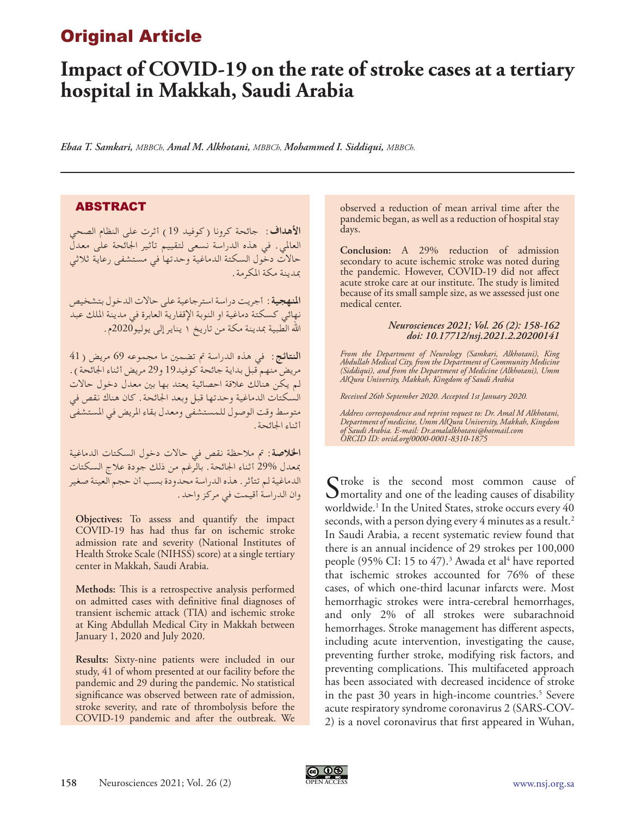## Original Article

# **Impact of COVID-19 on the rate of stroke cases at a tertiary hospital in Makkah, Saudi Arabia**

*Ebaa T. Samkari, MBBCh, Amal M. Alkhotani, MBBCh, Mohammed I. Siddiqui, MBBCh.*

## ABSTRACT

**األهداف:** جائحة كرونا )كوفيد 19( أثرت على النظام الصحي العاملي. في هذه الدراسة نسعى لتقييم تأثير اجلائحة على معدل حاالت دخول السكتة الدماغية وحدتها في مستشفى رعاية ثالثي مبدينة مكة املكرمة.

**املنهجية:** أجريت دراسة استرجاعية على حاالت الدخول بتشخيص نهائي كسكتة دماغية او النوبة اإلقفارية العابرة في مدينة امللك عبد الله الطبية بمدينة مكة من تاريخ ١ يناير إلى يوليو2020م.

ا**لنتائج**: في هذه الدراسة تم تضمين ما مجموعه 69 مريض (41 مريض منهم قبل بداية جائحة كوفيد19 و29 مريض أثناء الجائحة ) . لم يكن هنالك عالقة احصائية يعتد بها بني معدل دخول حاالت السكتات الدماغية وحدتها قبل وبعد اجلائحة. كان هناك نقص في متوسط وقت الوصول للمستشفى ومعدل بقاء املريض في املستشفى أثناء اجلائحة.

**اخلالصة:** مت مالحظة نقص في حاالت دخول السكتات الدماغية مبعدل 29% أثناء اجلائحة. بالرغم من ذلك جودة عالج السكتات الدماغية لم تتأثر. هذه الدراسة محدودة بسب أن حجم العينة صغير وان الدراسة أقيمت في مركز واحد.

**Objectives:** To assess and quantify the impact COVID-19 has had thus far on ischemic stroke admission rate and severity (National Institutes of Health Stroke Scale (NIHSS) score) at a single tertiary center in Makkah, Saudi Arabia.

**Methods:** This is a retrospective analysis performed on admitted cases with definitive final diagnoses of transient ischemic attack (TIA) and ischemic stroke at King Abdullah Medical City in Makkah between January 1, 2020 and July 2020.

**Results:** Sixty-nine patients were included in our study, 41 of whom presented at our facility before the pandemic and 29 during the pandemic. No statistical significance was observed between rate of admission, stroke severity, and rate of thrombolysis before the COVID-19 pandemic and after the outbreak. We

observed a reduction of mean arrival time after the pandemic began, as well as a reduction of hospital stay days.

**Conclusion:** A 29% reduction of admission secondary to acute ischemic stroke was noted during the pandemic. However, COVID-19 did not affect acute stroke care at our institute. The study is limited because of its small sample size, as we assessed just one medical center.

#### *Neurosciences 2021; Vol. 26 (2): 158-162 doi: 10.17712/nsj.2021.2.20200141*

*From the Department of Neurology (Samkari, Alkhotani), King Abdullah Medical City, from the Department of Community Medicine (Siddiqui), and from the Department of Medicine (Alkhotani), Umm AlQura University, Makkah, Kingdom of Saudi Arabia*

*Received 26th September 2020. Accepted 1st January 2020.*

*Address correspondence and reprint request to: Dr. Amal M Alkhotani, Department of medicine, Umm AlQura University, Makkah, Kingdom of Saudi Arabia. E-mail: Dr.amalalkhotani@hotmail.com ORCID ID: orcid.org/0000-0001-8310-1875*

Stroke is the second most common cause of mortality and one of the leading causes of disability worldwide.1 In the United States, stroke occurs every 40 seconds, with a person dying every 4 minutes as a result.<sup>2</sup> In Saudi Arabia, a recent systematic review found that there is an annual incidence of 29 strokes per 100,000 people (95% CI: 15 to  $47$ ).<sup>3</sup> Awada et al<sup>4</sup> have reported that ischemic strokes accounted for 76% of these cases, of which one-third lacunar infarcts were. Most hemorrhagic strokes were intra-cerebral hemorrhages, and only 2% of all strokes were subarachnoid hemorrhages. Stroke management has different aspects, including acute intervention, investigating the cause, preventing further stroke, modifying risk factors, and preventing complications. This multifaceted approach has been associated with decreased incidence of stroke in the past 30 years in high-income countries.<sup>5</sup> Severe acute respiratory syndrome coronavirus 2 (SARS-COV-2) is a novel coronavirus that first appeared in Wuhan,

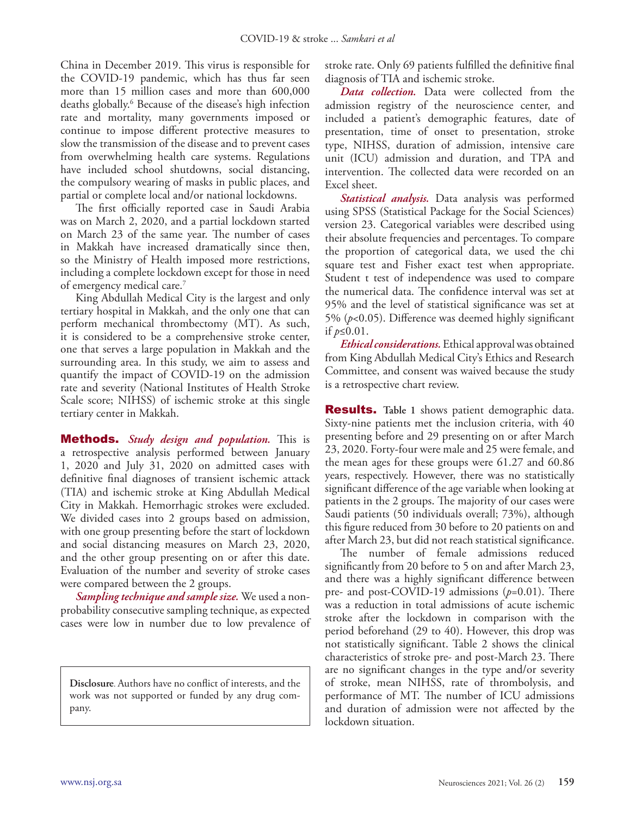China in December 2019. This virus is responsible for the COVID-19 pandemic, which has thus far seen more than 15 million cases and more than 600,000 deaths globally.6 Because of the disease's high infection rate and mortality, many governments imposed or continue to impose different protective measures to slow the transmission of the disease and to prevent cases from overwhelming health care systems. Regulations have included school shutdowns, social distancing, the compulsory wearing of masks in public places, and partial or complete local and/or national lockdowns.

The first officially reported case in Saudi Arabia was on March 2, 2020, and a partial lockdown started on March 23 of the same year. The number of cases in Makkah have increased dramatically since then, so the Ministry of Health imposed more restrictions, including a complete lockdown except for those in need of emergency medical care.7

King Abdullah Medical City is the largest and only tertiary hospital in Makkah, and the only one that can perform mechanical thrombectomy (MT). As such, it is considered to be a comprehensive stroke center, one that serves a large population in Makkah and the surrounding area. In this study, we aim to assess and quantify the impact of COVID-19 on the admission rate and severity (National Institutes of Health Stroke Scale score; NIHSS) of ischemic stroke at this single tertiary center in Makkah.

Methods. *Study design and population.* This is a retrospective analysis performed between January 1, 2020 and July 31, 2020 on admitted cases with definitive final diagnoses of transient ischemic attack (TIA) and ischemic stroke at King Abdullah Medical City in Makkah. Hemorrhagic strokes were excluded. We divided cases into 2 groups based on admission, with one group presenting before the start of lockdown and social distancing measures on March 23, 2020, and the other group presenting on or after this date. Evaluation of the number and severity of stroke cases were compared between the 2 groups.

*Sampling technique and sample size.* We used a nonprobability consecutive sampling technique, as expected cases were low in number due to low prevalence of

**Disclosure**. Authors have no conflict of interests, and the work was not supported or funded by any drug company.

stroke rate. Only 69 patients fulfilled the definitive final diagnosis of TIA and ischemic stroke.

*Data collection.* Data were collected from the admission registry of the neuroscience center, and included a patient's demographic features, date of presentation, time of onset to presentation, stroke type, NIHSS, duration of admission, intensive care unit (ICU) admission and duration, and TPA and intervention. The collected data were recorded on an Excel sheet.

*Statistical analysis.* Data analysis was performed using SPSS (Statistical Package for the Social Sciences) version 23. Categorical variables were described using their absolute frequencies and percentages. To compare the proportion of categorical data, we used the chi square test and Fisher exact test when appropriate. Student t test of independence was used to compare the numerical data. The confidence interval was set at 95% and the level of statistical significance was set at 5% (*p*<0.05). Difference was deemed highly significant if *p*≤0.01.

*Ethical considerations.* Ethical approval was obtained from King Abdullah Medical City's Ethics and Research Committee, and consent was waived because the study is a retrospective chart review.

Results. **Table 1** shows patient demographic data. Sixty-nine patients met the inclusion criteria, with 40 presenting before and 29 presenting on or after March 23, 2020. Forty-four were male and 25 were female, and the mean ages for these groups were 61.27 and 60.86 years, respectively. However, there was no statistically significant difference of the age variable when looking at patients in the 2 groups. The majority of our cases were Saudi patients (50 individuals overall; 73%), although this figure reduced from 30 before to 20 patients on and after March 23, but did not reach statistical significance.

The number of female admissions reduced significantly from 20 before to 5 on and after March 23, and there was a highly significant difference between pre- and post-COVID-19 admissions (*p*=0.01). There was a reduction in total admissions of acute ischemic stroke after the lockdown in comparison with the period beforehand (29 to 40). However, this drop was not statistically significant. Table 2 shows the clinical characteristics of stroke pre- and post-March 23. There are no significant changes in the type and/or severity of stroke, mean NIHSS, rate of thrombolysis, and performance of MT. The number of ICU admissions and duration of admission were not affected by the lockdown situation.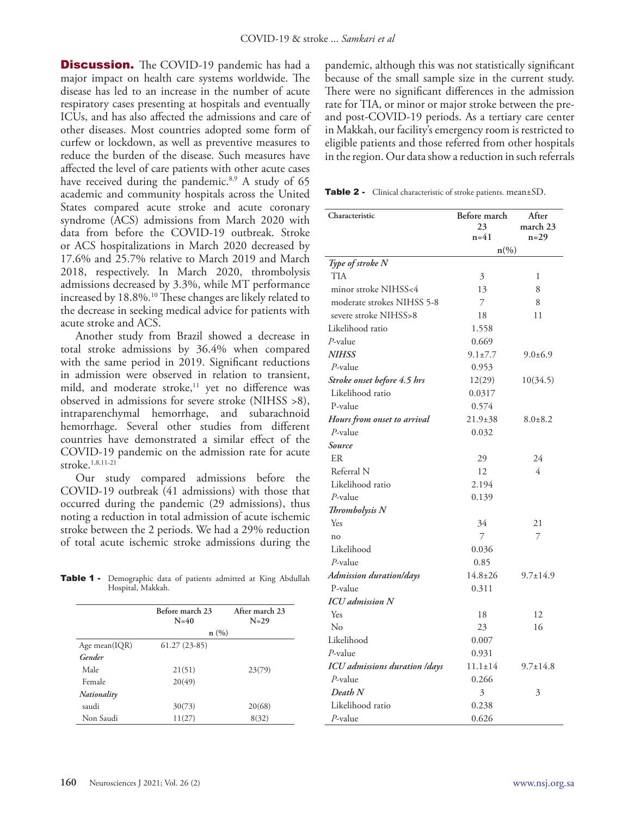**Discussion.** The COVID-19 pandemic has had a major impact on health care systems worldwide. The disease has led to an increase in the number of acute respiratory cases presenting at hospitals and eventually ICUs, and has also affected the admissions and care of other diseases. Most countries adopted some form of curfew or lockdown, as well as preventive measures to reduce the burden of the disease. Such measures have affected the level of care patients with other acute cases have received during the pandemic. $8.9$  A study of 65 academic and community hospitals across the United States compared acute stroke and acute coronary syndrome (ACS) admissions from March 2020 with data from before the COVID-19 outbreak. Stroke or ACS hospitalizations in March 2020 decreased by 17.6% and 25.7% relative to March 2019 and March 2018, respectively. In March 2020, thrombolysis admissions decreased by 3.3%, while MT performance increased by 18.8%.<sup>10</sup> These changes are likely related to the decrease in seeking medical advice for patients with acute stroke and ACS.

Another study from Brazil showed a decrease in total stroke admissions by 36.4% when compared with the same period in 2019. Significant reductions in admission were observed in relation to transient, mild, and moderate stroke,<sup>11</sup> yet no difference was observed in admissions for severe stroke (NIHSS >8), intraparenchymal hemorrhage, and subarachnoid hemorrhage. Several other studies from different countries have demonstrated a similar effect of the COVID-19 pandemic on the admission rate for acute stroke.1,8,11-21

Our study compared admissions before the COVID-19 outbreak (41 admissions) with those that occurred during the pandemic (29 admissions), thus noting a reduction in total admission of acute ischemic stroke between the 2 periods. We had a 29% reduction of total acute ischemic stroke admissions during the

Table 1 - Demographic data of patients admitted at King Abdullah Hospital, Makkah.

|               | Before march 23<br>$N=40$ | After march 23<br>$N=29$ |
|---------------|---------------------------|--------------------------|
|               | n(%)                      |                          |
| Age mean(IQR) | $61.27(23-85)$            |                          |
| Gender        |                           |                          |
| Male          | 21(51)                    | 23(79)                   |
| Female        | 20(49)                    |                          |
| Nationality   |                           |                          |
| saudi         | 30(73)                    | 20(68)                   |
| Non Saudi     | 11(27)                    | 8(32)                    |

pandemic, although this was not statistically significant because of the small sample size in the current study. There were no significant differences in the admission rate for TIA, or minor or major stroke between the preand post-COVID-19 periods. As a tertiary care center in Makkah, our facility's emergency room is restricted to eligible patients and those referred from other hospitals in the region. Our data show a reduction in such referrals

Table 2 - Clinical characteristic of stroke patients. mean±SD.

| Characteristic                | Before march<br>23<br>n=41 | After<br>march 23<br>$n=29$ |
|-------------------------------|----------------------------|-----------------------------|
|                               | $n\left(\%\right)$         |                             |
| Type of stroke N              |                            |                             |
| <b>TIA</b>                    | 3                          | 1                           |
| minor stroke NIHSS<4          | 13                         | 8                           |
| moderate strokes NIHSS 5-8    | 7                          | 8                           |
| severe stroke NIHSS>8         | 18                         | 11                          |
| Likelihood ratio              | 1.558                      |                             |
| P-value                       | 0.669                      |                             |
| <b>NIHSS</b>                  | $9.1 \pm 7.7$              | $9.0 \pm 6.9$               |
| $P$ -value                    | 0.953                      |                             |
| Stroke onset before 4.5 hrs   | 12(29)                     | 10(34.5)                    |
| Likelihood ratio              | 0.0317                     |                             |
| P-value                       | 0.574                      |                             |
| Hours from onset to arrival   | $21.9 \pm 38$              | $8.0 \pm 8.2$               |
| $P$ -value                    | 0.032                      |                             |
| Source                        |                            |                             |
| ER                            | 29                         | 24                          |
| Referral N                    | 12                         | 4                           |
| Likelihood ratio              | 2.194                      |                             |
| P-value                       | 0.139                      |                             |
| Thrombolysis N                |                            |                             |
| Yes                           | 34                         | 21                          |
| no                            | 7                          | 7                           |
| Likelihood                    | 0.036                      |                             |
| $P$ -value                    | 0.85                       |                             |
| Admission duration/days       | $14.8 \pm 26$              | $9.7 \pm 14.9$              |
| P-value                       | 0.311                      |                             |
| <b>ICU</b> admission N        |                            |                             |
| Yes                           | 18                         | 12                          |
| $\rm No$                      | 23                         | 16                          |
| Likelihood                    | 0.007                      |                             |
| P-value                       | 0.931                      |                             |
| ICU admissions duration /days | $11.1 \pm 14$              | $9.7 \pm 14.8$              |
| $P$ -value                    | 0.266                      |                             |
| Death N                       | $\mathfrak{Z}$             | 3                           |
| Likelihood ratio              | 0.238                      |                             |
| P-value                       | 0.626                      |                             |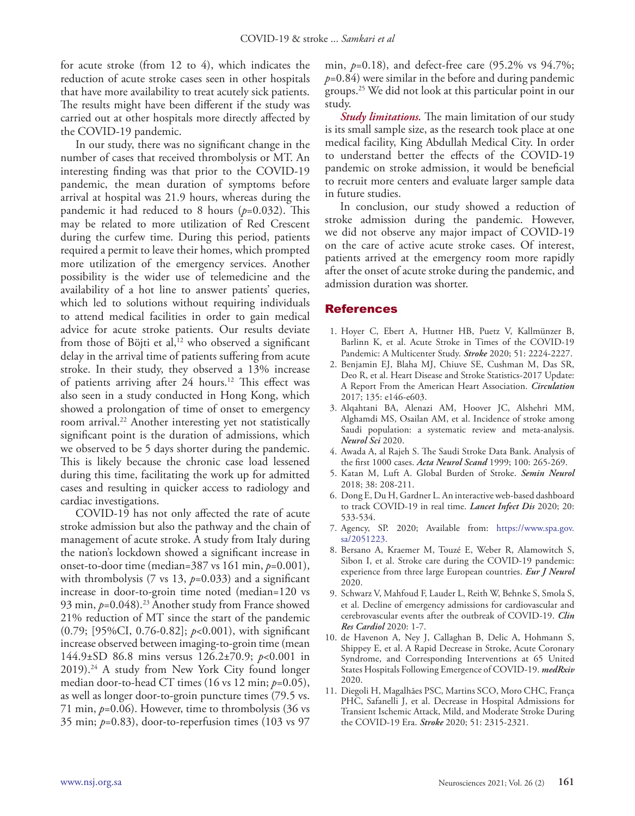for acute stroke (from 12 to 4), which indicates the reduction of acute stroke cases seen in other hospitals that have more availability to treat acutely sick patients. The results might have been different if the study was carried out at other hospitals more directly affected by the COVID-19 pandemic.

In our study, there was no significant change in the number of cases that received thrombolysis or MT. An interesting finding was that prior to the COVID-19 pandemic, the mean duration of symptoms before arrival at hospital was 21.9 hours, whereas during the pandemic it had reduced to 8 hours (*p*=0.032). This may be related to more utilization of Red Crescent during the curfew time. During this period, patients required a permit to leave their homes, which prompted more utilization of the emergency services. Another possibility is the wider use of telemedicine and the availability of a hot line to answer patients' queries, which led to solutions without requiring individuals to attend medical facilities in order to gain medical advice for acute stroke patients. Our results deviate from those of Böjti et al,<sup>12</sup> who observed a significant delay in the arrival time of patients suffering from acute stroke. In their study, they observed a 13% increase of patients arriving after 24 hours.12 This effect was also seen in a study conducted in Hong Kong, which showed a prolongation of time of onset to emergency room arrival.22 Another interesting yet not statistically significant point is the duration of admissions, which we observed to be 5 days shorter during the pandemic. This is likely because the chronic case load lessened during this time, facilitating the work up for admitted cases and resulting in quicker access to radiology and cardiac investigations.

COVID-19 has not only affected the rate of acute stroke admission but also the pathway and the chain of management of acute stroke. A study from Italy during the nation's lockdown showed a significant increase in onset-to-door time (median=387 vs 161 min, *p*=0.001), with thrombolysis (7 vs 13, *p*=0.033) and a significant increase in door-to-groin time noted (median=120 vs 93 min, *p*=0.048).<sup>23</sup> Another study from France showed 21% reduction of MT since the start of the pandemic (0.79; [95%CI, 0.76-0.82]; *p*<0.001), with significant increase observed between imaging-to-groin time (mean 144.9±SD 86.8 mins versus 126.2±70.9; *p*<0.001 in  $2019$ .<sup>24</sup> A study from New York City found longer median door-to-head CT times (16 vs 12 min; *p*=0.05), as well as longer door-to-groin puncture times (79.5 vs. 71 min, *p*=0.06). However, time to thrombolysis (36 vs 35 min; *p*=0.83), door-to-reperfusion times (103 vs 97

min, *p*=0.18), and defect-free care (95.2% vs 94.7%;  $p=0.84$ ) were similar in the before and during pandemic groups.25 We did not look at this particular point in our study.

*Study limitations.* The main limitation of our study is its small sample size, as the research took place at one medical facility, King Abdullah Medical City. In order to understand better the effects of the COVID-19 pandemic on stroke admission, it would be beneficial to recruit more centers and evaluate larger sample data in future studies.

In conclusion, our study showed a reduction of stroke admission during the pandemic. However, we did not observe any major impact of COVID-19 on the care of active acute stroke cases. Of interest, patients arrived at the emergency room more rapidly after the onset of acute stroke during the pandemic, and admission duration was shorter.

#### References

- 1. Hoyer C, Ebert A, Huttner HB, Puetz V, Kallmünzer B, Barlinn K, et al. Acute Stroke in Times of the COVID-19 Pandemic: A Multicenter Study. *Stroke* 2020; 51: 2224-2227.
- 2. Benjamin EJ, Blaha MJ, Chiuve SE, Cushman M, Das SR, Deo R, et al. Heart Disease and Stroke Statistics-2017 Update: A Report From the American Heart Association. *Circulation*  2017; 135: e146-e603.
- 3. Alqahtani BA, Alenazi AM, Hoover JC, Alshehri MM, Alghamdi MS, Osailan AM, et al. Incidence of stroke among Saudi population: a systematic review and meta-analysis. *Neurol Sci* 2020.
- 4. Awada A, al Rajeh S. The Saudi Stroke Data Bank. Analysis of the first 1000 cases. *Acta Neurol Scand* 1999; 100: 265-269.
- 5. Katan M, Luft A. Global Burden of Stroke. *Semin Neurol*  2018; 38: 208-211.
- 6. Dong E, Du H, Gardner L. An interactive web-based dashboard to track COVID-19 in real time. *Lancet Infect Dis* 2020; 20: 533-534.
- 7. Agency, SP. 2020; Available from: https://www.spa.gov. sa/2051223.
- 8. Bersano A, Kraemer M, Touzé E, Weber R, Alamowitch S, Sibon I, et al. Stroke care during the COVID-19 pandemic: experience from three large European countries. *Eur J Neurol*  2020.
- 9. Schwarz V, Mahfoud F, Lauder L, Reith W, Behnke S, Smola S, et al. Decline of emergency admissions for cardiovascular and cerebrovascular events after the outbreak of COVID-19. *Clin Res Cardiol* 2020: 1-7.
- 10. de Havenon A, Ney J, Callaghan B, Delic A, Hohmann S, Shippey E, et al. A Rapid Decrease in Stroke, Acute Coronary Syndrome, and Corresponding Interventions at 65 United States Hospitals Following Emergence of COVID-19. *medRxiv*  2020.
- 11. Diegoli H, Magalhães PSC, Martins SCO, Moro CHC, França PHC, Safanelli J, et al. Decrease in Hospital Admissions for Transient Ischemic Attack, Mild, and Moderate Stroke During the COVID-19 Era. *Stroke* 2020; 51: 2315-2321.